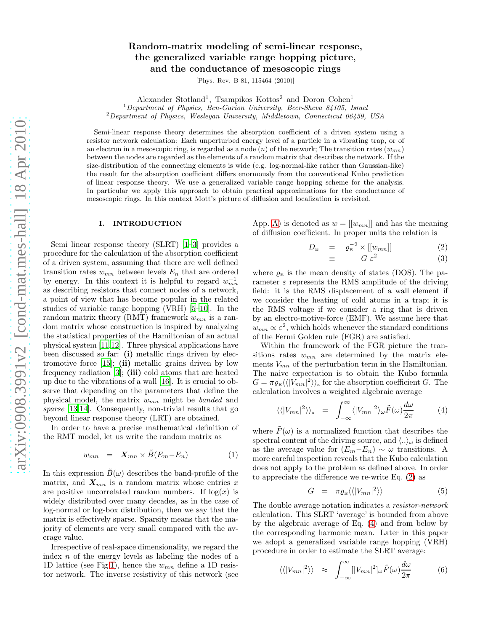# Random-matrix modeling of semi-linear response, the generalized variable range hopping picture, and the conductance of mesoscopic rings

[Phys. Rev. B 81, 115464 (2010)]

Alexander Stotland<sup>1</sup>, Tsampikos Kottos<sup>2</sup> and Doron Cohen<sup>1</sup>

 $1$ Department of Physics, Ben-Gurion University, Beer-Sheva 84105, Israel

<sup>2</sup>Department of Physics, Wesleyan University, Middletown, Connecticut 06459, USA

Semi-linear response theory determines the absorption coefficient of a driven system using a resistor network calculation: Each unperturbed energy level of a particle in a vibrating trap, or of an electron in a mesoscopic ring, is regarded as a node  $(n)$  of the network; The transition rates  $(w_{mn})$ between the nodes are regarded as the elements of a random matrix that describes the network. If the size-distribution of the connecting elements is wide (e.g. log-normal-like rather than Gaussian-like) the result for the absorption coefficient differs enormously from the conventional Kubo prediction of linear response theory. We use a generalized variable range hopping scheme for the analysis. In particular we apply this approach to obtain practical approximations for the conductance of mesoscopic rings. In this context Mott's picture of diffusion and localization is revisited.

### I. INTRODUCTION

Semi linear response theory (SLRT) [\[1](#page-13-0)[–3\]](#page-13-1) provides a procedure for the calculation of the absorption coefficient of a driven system, assuming that there are well defined transition rates  $w_{mn}$  between levels  $E_n$  that are ordered by energy. In this context it is helpful to regard  $w_{mn}^{-1}$ as describing resistors that connect nodes of a network, a point of view that has become popular in the related studies of variable range hopping (VRH) [\[5](#page-13-2)[–10\]](#page-13-3). In the random matrix theory (RMT) framework  $w_{mn}$  is a random matrix whose construction is inspired by analyzing the statistical properties of the Hamiltonian of an actual physical system [\[11](#page-13-4)[,12](#page-13-5)]. Three physical applications have been discussed so far: (i) metallic rings driven by electromotive force  $[15]$ ; (ii) metallic grains driven by low frequency radiation  $[3]$ ; (iii) cold atoms that are heated up due to the vibrations of a wall [\[16\]](#page-13-7). It is crucial to observe that depending on the parameters that define the physical model, the matrix  $w_{mn}$  might be *banded* and sparse [\[13](#page-13-8)[,14\]](#page-13-9). Consequently, non-trivial results that go beyond linear response theory (LRT) are obtained.

In order to have a precise mathematical definition of the RMT model, let us write the random matrix as

<span id="page-0-3"></span>
$$
w_{mn} = \mathbf{X}_{mn} \times \tilde{B}(E_m - E_n) \tag{1}
$$

In this expression  $B(\omega)$  describes the band-profile of the matrix, and  $\mathbf{X}_{mn}$  is a random matrix whose entries x are positive uncorrelated random numbers. If  $log(x)$  is widely distributed over many decades, as in the case of log-normal or log-box distribution, then we say that the matrix is effectively sparse. Sparsity means that the majority of elements are very small compared with the average value.

Irrespective of real-space dimensionality, we regard the index  $n$  of the energy levels as labeling the nodes of a 1D lattice (see Fig[.1\)](#page-13-10), hence the  $w_{mn}$  define a 1D resistor network. The inverse resistivity of this network (see

App. [A\)](#page-11-0) is denoted as  $w = [[w_{mn}]]$  and has the meaning of diffusion coefficient. In proper units the relation is

<span id="page-0-0"></span>
$$
D_{\mathcal{E}} = \varrho_{\mathcal{E}}^{-2} \times [[w_{mn}]] \tag{2}
$$

$$
\equiv \qquad G \, \varepsilon^2 \tag{3}
$$

where  $\varrho_{\rm E}$  is the mean density of states (DOS). The parameter  $\varepsilon$  represents the RMS amplitude of the driving field: it is the RMS displacement of a wall element if we consider the heating of cold atoms in a trap; it is the RMS voltage if we consider a ring that is driven by an electro-motive-force (EMF). We assume here that  $w_{mn} \propto \varepsilon^2$ , which holds whenever the standard conditions of the Fermi Golden rule (FGR) are satisfied.

Within the framework of the FGR picture the transitions rates  $w_{mn}$  are determined by the matrix elements  $V_{mn}$  of the perturbation term in the Hamiltonian. The naive expectation is to obtain the Kubo formula  $G = \pi \varrho_{\rm E} \langle {\langle |V_{mn}|^2 \rangle \rangle}_{\rm a}$  for the absorption coefficient G. The calculation involves a weighted algebraic average

<span id="page-0-1"></span>
$$
\langle \langle |V_{mn}|^2 \rangle \rangle_{\rm a} = \int_{-\infty}^{\infty} \langle |V_{mn}|^2 \rangle_{\omega} \tilde{F}(\omega) \frac{d\omega}{2\pi} \tag{4}
$$

where  $\tilde{F}(\omega)$  is a normalized function that describes the spectral content of the driving source, and  $\langle .. \rangle_\omega$  is defined as the average value for  $(E_m-E_n) \sim \omega$  transitions. A more careful inspection reveals that the Kubo calculation does not apply to the problem as defined above. In order to appreciate the difference we re-write Eq. [\(2\)](#page-0-0) as

<span id="page-0-2"></span>
$$
G = \pi \varrho_{\rm E} \langle \langle |V_{mn}|^2 \rangle \rangle \tag{5}
$$

The double average notation indicates a resistor-network calculation. This SLRT 'average' is bounded from above by the algebraic average of Eq. [\(4\)](#page-0-1) and from below by the corresponding harmonic mean. Later in this paper we adopt a generalized variable range hopping (VRH) procedure in order to estimate the SLRT average:

<span id="page-0-4"></span>
$$
\langle \langle |V_{mn}|^2 \rangle \rangle \approx \int_{-\infty}^{\infty} [|V_{mn}|^2]_{\omega} \tilde{F}(\omega) \frac{d\omega}{2\pi} \tag{6}
$$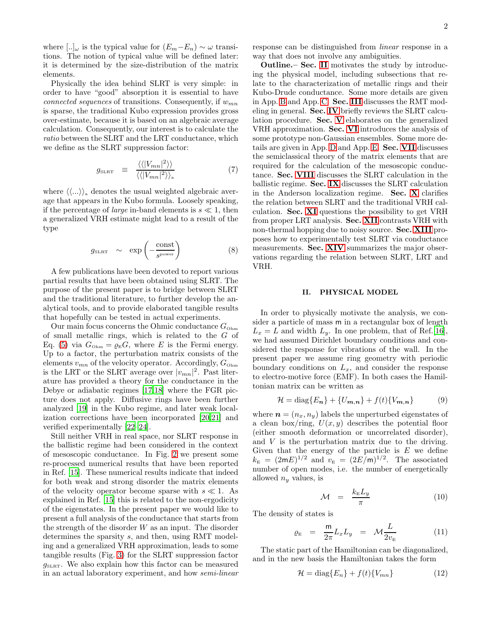where  $[...]_{\omega}$  is the typical value for  $(E_m-E_n) \sim \omega$  transitions. The notion of typical value will be defined later: it is determined by the size-distribution of the matrix elements.

Physically the idea behind SLRT is very simple: in order to have "good" absorption it is essential to have connected sequences of transitions. Consequently, if  $w_{mn}$ is sparse, the traditional Kubo expression provides gross over-estimate, because it is based on an algebraic average calculation. Consequently, our interest is to calculate the ratio between the SLRT and the LRT conductance, which we define as the SLRT suppression factor:

$$
g_{\text{SLRT}} \equiv \frac{\langle \langle |V_{mn}|^2 \rangle \rangle}{\langle \langle |V_{mn}|^2 \rangle \rangle_{\text{a}}} \tag{7}
$$

where  $\langle \langle ... \rangle \rangle$  denotes the usual weighted algebraic average that appears in the Kubo formula. Loosely speaking, if the percentage of *large* in-band elements is  $s \ll 1$ , then a generalized VRH estimate might lead to a result of the type

$$
g_{\text{SLRT}} \sim \exp\left(-\frac{\text{const}}{s^{\text{power}}}\right) \tag{8}
$$

A few publications have been devoted to report various partial results that have been obtained using SLRT. The purpose of the present paper is to bridge between SLRT and the traditional literature, to further develop the analytical tools, and to provide elaborated tangible results that hopefully can be tested in actual experiments.

Our main focus concerns the Ohmic conductance  $G_{\rm Ohm}$ of small metallic rings, which is related to the G of Eq. [\(5\)](#page-0-2) via  $G_{\text{Ohm}} = \varrho_{\text{E}} G$ , where E is the Fermi energy. Up to a factor, the perturbation matrix consists of the elements  $v_{mn}$  of the velocity operator. Accordingly,  $G_{\text{Ohm}}$ is the LRT or the SLRT average over  $|v_{mn}|^2$ . Past literature has provided a theory for the conductance in the Debye or adiabatic regimes [\[17](#page-13-11)[,18\]](#page-13-12) where the FGR picture does not apply. Diffusive rings have been further analyzed [\[19](#page-13-13)] in the Kubo regime, and later weak localization corrections have been incorporated [\[20](#page-13-14)[,21\]](#page-13-15) and verified experimentally [\[22](#page-13-16)[–24](#page-13-17)].

Still neither VRH in real space, nor SLRT response in the ballistic regime had been considered in the context of mesoscopic conductance. In Fig. [2](#page-14-0) we present some re-processed numerical results that have been reported in Ref. [\[15](#page-13-6)]. These numerical results indicate that indeed for both weak and strong disorder the matrix elements of the velocity operator become sparse with  $s \ll 1$ . As explained in Ref. [\[15](#page-13-6)] this is related to the non-ergodicity of the eigenstates. In the present paper we would like to present a full analysis of the conductance that starts from the strength of the disorder  $W$  as an input. The disorder determines the sparsity s, and then, using RMT modeling and a generalized VRH approximation, leads to some tangible results (Fig. [3\)](#page-14-1) for the SLRT suppression factor  $g_{\text{SLRT}}$ . We also explain how this factor can be measured in an actual laboratory experiment, and how semi-linear

response can be distinguished from linear response in a way that does not involve any ambiguities.

Outline.– Sec. [II](#page-1-0) motivates the study by introducing the physical model, including subsections that relate to the characterization of metallic rings and their Kubo-Drude conductance. Some more details are given in App. [B](#page-11-1) and App. [C.](#page-11-2) Sec. [III](#page-3-0) discusses the RMT modeling in general. Sec. [IV](#page-4-0) briefly reviews the SLRT calculation procedure. Sec. [V](#page-4-1) elaborates on the generalized VRH approximation. Sec. [VI](#page-5-0) introduces the analysis of some prototype non-Gaussian ensembles. Some more details are given in App. [D](#page-12-0) and App. [E.](#page-12-1) Sec. [VII](#page-5-1) discusses the semiclassical theory of the matrix elements that are required for the calculation of the mesoscopic conductance. Sec. [VIII](#page-6-0) discusses the SLRT calculation in the ballistic regime. Sec. [IX](#page-7-0) discusses the SLRT calculation in the Anderson localization regime. Sec. [X](#page-8-0) clarifies the relation between SLRT and the traditional VRH calculation. Sec. [XI](#page-8-1) questions the possibility to get VRH from proper LRT analysis. Sec. [XII](#page-9-0) contrasts VRH with non-thermal hopping due to noisy source. Sec. [XIII](#page-9-1) proposes how to experimentally test SLRT via conductance measurements. Sec. [XIV](#page-10-0) summarizes the major observations regarding the relation between SLRT, LRT and VRH.

#### <span id="page-1-0"></span>II. PHYSICAL MODEL

In order to physically motivate the analysis, we consider a particle of mass m in a rectangular box of length  $L_x = L$  and width  $L_y$ . In one problem, that of Ref.[\[16\]](#page-13-7), we had assumed Dirichlet boundary conditions and considered the response for vibrations of the wall. In the present paper we assume ring geometry with periodic boundary conditions on  $L_x$ , and consider the response to electro-motive force (EMF). In both cases the Hamiltonian matrix can be written as

<span id="page-1-2"></span>
$$
\mathcal{H} = \text{diag}\{E_n\} + \{U_{m,n}\} + f(t)\{V_{m,n}\}\tag{9}
$$

where  $\mathbf{n} = (n_x, n_y)$  labels the unperturbed eigenstates of a clean box/ring,  $U(x, y)$  describes the potential floor (either smooth deformation or uncorrelated disorder), and V is the perturbation matrix due to the driving. Given that the energy of the particle is  $E$  we define  $k_{\rm E} = (2mE)^{1/2}$  and  $v_{\rm E} = (2E/m)^{1/2}$ . The associated number of open modes, i.e. the number of energetically allowed  $n_y$  values, is

$$
\mathcal{M} = \frac{k_{\mathrm{E}} L_y}{\pi} \tag{10}
$$

The density of states is

<span id="page-1-1"></span>
$$
\varrho_{\rm E} = \frac{m}{2\pi} L_x L_y = \mathcal{M} \frac{L}{2v_{\rm E}} \tag{11}
$$

The static part of the Hamiltonian can be diagonalized, and in the new basis the Hamiltonian takes the form

$$
\mathcal{H} = \text{diag}\{E_n\} + f(t)\{V_{mn}\}\tag{12}
$$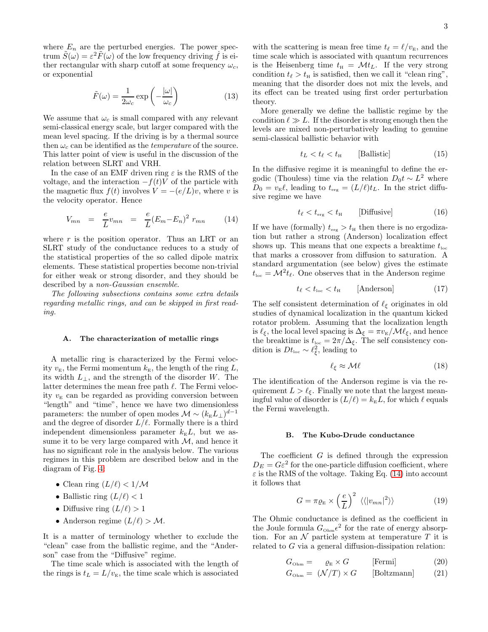where  $E_n$  are the perturbed energies. The power spectrum  $\tilde{S}(\omega) = \varepsilon^2 \tilde{F}(\omega)$  of the low frequency driving  $\dot{f}$  is either rectangular with sharp cutoff at some frequency  $\omega_c$ , or exponential

$$
\tilde{F}(\omega) = \frac{1}{2\omega_c} \exp\left(-\frac{|\omega|}{\omega_c}\right) \tag{13}
$$

We assume that  $\omega_c$  is small compared with any relevant semi-classical energy scale, but larger compared with the mean level spacing. If the driving is by a thermal source then  $\omega_c$  can be identified as the *temperature* of the source. This latter point of view is useful in the discussion of the relation between SLRT and VRH.

In the case of an EMF driven ring  $\varepsilon$  is the RMS of the voltage, and the interaction  $-f(t)V$  of the particle with the magnetic flux  $f(t)$  involves  $V = -(e/L)v$ , where v is the velocity operator. Hence

<span id="page-2-0"></span>
$$
V_{mn} = \frac{e}{L} v_{mn} = \frac{e}{L} (E_m - E_n)^2 r_{mn}
$$
 (14)

where  $r$  is the position operator. Thus an LRT or an SLRT study of the conductance reduces to a study of the statistical properties of the so called dipole matrix elements. These statistical properties become non-trivial for either weak or strong disorder, and they should be described by a non-Gaussian ensemble.

The following subsections contains some extra details regarding metallic rings, and can be skipped in first reading.

#### <span id="page-2-3"></span>A. The characterization of metallic rings

A metallic ring is characterized by the Fermi velocity  $v_{\rm E}$ , the Fermi momentum  $k_{\rm E}$ , the length of the ring L, its width  $L_{\perp}$ , and the strength of the disorder W. The latter determines the mean free path  $\ell$ . The Fermi velocity  $v<sub>E</sub>$  can be regarded as providing conversion between "length" and "time", hence we have two dimensionless parameters: the number of open modes  $\mathcal{M} \sim (k_{\rm E}L_{\perp})^{d-1}$ and the degree of disorder  $L/\ell$ . Formally there is a third independent dimensionless parameter  $k_{\rm E}L$ , but we assume it to be very large compared with  $M$ , and hence it has no significant role in the analysis below. The various regimes in this problem are described below and in the diagram of Fig. [4:](#page-15-0)

- Clean ring  $(L/\ell) < 1/M$
- Ballistic ring  $(L/\ell) < 1$
- Diffusive ring  $(L/\ell) > 1$
- Anderson regime  $(L/\ell) > M$ .

It is a matter of terminology whether to exclude the "clean" case from the ballistic regime, and the "Anderson" case from the "Diffusive" regime.

The time scale which is associated with the length of the rings is  $t_L = L/v_{\rm E}$ , the time scale which is associated

with the scattering is mean free time  $t_{\ell} = \ell/v_{\rm E}$ , and the time scale which is associated with quantum recurrences is the Heisenberg time  $t_{\text{H}} = \mathcal{M}t_L$ . If the very strong condition  $t_{\ell} > t_{\rm H}$  is satisfied, then we call it "clean ring", meaning that the disorder does not mix the levels, and its effect can be treated using first order perturbation theory.

More generally we define the ballistic regime by the condition  $\ell \gg L$ . If the disorder is strong enough then the levels are mixed non-perturbatively leading to genuine semi-classical ballistic behavior with

$$
t_L < t_\ell < t_{\rm H} \qquad \text{[Ballistic]} \tag{15}
$$

In the diffusive regime it is meaningful to define the ergodic (Thouless) time via the relation  $D_0 t \sim L^2$  where  $D_0 = v_{\rm E} \ell$ , leading to  $t_{\rm erg} = (L/\ell)t_L$ . In the strict diffusive regime we have

$$
t_{\ell} < t_{\text{erg}} < t_{\text{H}} \qquad \text{[Diffusive]} \tag{16}
$$

If we have (formally)  $t_{\text{erg}} > t_{\text{H}}$  then there is no ergodization but rather a strong (Anderson) localization effect shows up. This means that one expects a breaktime  $t_{\text{loc}}$ that marks a crossover from diffusion to saturation. A standard argumentation (see below) gives the estimate  $t_{\text{loc}} = \mathcal{M}^2 t_{\ell}$ . One observes that in the Anderson regime

$$
t_{\ell} < t_{\text{loc}} < t_{\text{H}} \qquad \text{[Anderson]} \tag{17}
$$

The self consistent determination of  $\ell_{\xi}$  originates in old studies of dynamical localization in the quantum kicked rotator problem. Assuming that the localization length is  $\ell_{\xi}$ , the local level spacing is  $\Delta_{\xi} = \pi v_{\text{E}} / \mathcal{M} \ell_{\xi}$ , and hence the breaktime is  $t_{\text{loc}} = 2\pi/\Delta_{\xi}$ . The self consistency condition is  $Dt_{\text{loc}} \sim \ell_{\xi}^2$ , leading to

$$
\ell_{\xi} \approx \mathcal{M}\ell \tag{18}
$$

The identification of the Anderson regime is via the requirement  $L > \ell_{\xi}$ . Finally we note that the largest meaningful value of disorder is  $(L/\ell) = k_{\rm E}L$ , for which  $\ell$  equals the Fermi wavelength.

#### <span id="page-2-1"></span>B. The Kubo-Drude conductance

The coefficient  $G$  is defined through the expression  $D_E = G \varepsilon^2$  for the one-particle diffusion coefficient, where  $\varepsilon$  is the RMS of the voltage. Taking Eq. [\(14\)](#page-2-0) into account it follows that

<span id="page-2-2"></span>
$$
G = \pi \varrho_{\rm E} \times \left(\frac{e}{L}\right)^2 \langle \langle |v_{mn}|^2 \rangle \rangle \tag{19}
$$

The Ohmic conductance is defined as the coefficient in the Joule formula  $G_{\text{Ohm}}\epsilon^2$  for the rate of energy absorption. For an  $\mathcal N$  particle system at temperature  $T$  it is related to  $G$  via a general diffusion-dissipation relation:

$$
G_{\text{Ohm}} = \varrho_{\text{E}} \times G \qquad \text{[Fermi]} \tag{20}
$$

$$
G_{\text{Ohm}} = (\mathcal{N}/T) \times G \qquad [\text{Boltzmann}] \tag{21}
$$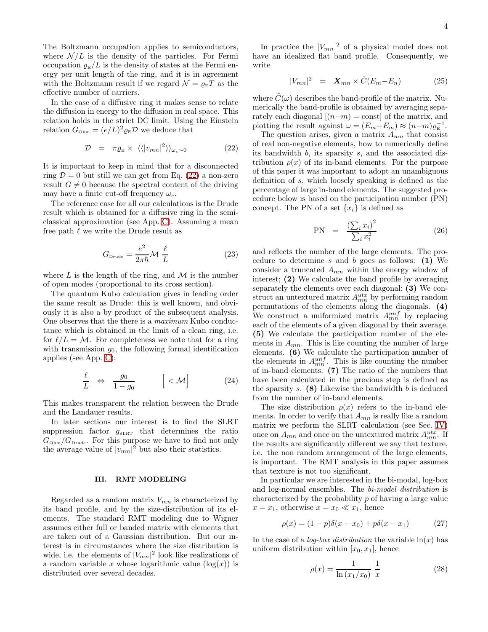The Boltzmann occupation applies to semiconductors, where  $\mathcal{N}/L$  is the density of the particles. For Fermi occupation  $\varrho_{\rm E}/L$  is the density of states at the Fermi energy per unit length of the ring, and it is in agreement with the Boltzmann result if we regard  $\mathcal{N} = \rho_{\rm E} T$  as the effective number of carriers.

In the case of a diffusive ring it makes sense to relate the diffusion in energy to the diffusion in real space. This relation holds in the strict DC limit. Using the Einstein relation  $G_{\text{Ohm}} = (e/L)^2 \varrho_{\text{E}} \mathcal{D}$  we deduce that

<span id="page-3-1"></span>
$$
\mathcal{D} = \pi \varrho_{\rm E} \times \langle \langle |v_{mn}|^2 \rangle \rangle_{\omega_c \sim 0} \tag{22}
$$

It is important to keep in mind that for a disconnected ring  $\mathcal{D} = 0$  but still we can get from Eq. [\(22\)](#page-3-1) a non-zero result  $G \neq 0$  because the spectral content of the driving may have a finite cut-off frequency  $\omega_c$ .

The reference case for all our calculations is the Drude result which is obtained for a diffusive ring in the semiclassical approximation (see App. [C\)](#page-11-2). Assuming a mean free path  $\ell$  we write the Drude result as

<span id="page-3-5"></span>
$$
G_{\text{Drude}} = \frac{e^2}{2\pi\hbar} \mathcal{M} \frac{\ell}{L} \tag{23}
$$

where  $L$  is the length of the ring, and  $M$  is the number of open modes (proportional to its cross section).

The quantum Kubo calculation gives in leading order the same result as Drude: this is well known, and obviously it is also a by product of the subsequent analysis. One observes that the there is a maximum Kubo conductance which is obtained in the limit of a clean ring, i.e. for  $\ell/L = \mathcal{M}$ . For completeness we note that for a ring with transmission  $g_0$ , the following formal identification applies (see App. [C\)](#page-11-2):

<span id="page-3-4"></span>
$$
\frac{\ell}{L} \Leftrightarrow \frac{g_0}{1 - g_0} \qquad \left[ < \mathcal{M} \right] \tag{24}
$$

This makes transparent the relation between the Drude and the Landauer results.

In later sections our interest is to find the SLRT suppression factor  $g_{SLRT}$  that determines the ratio  $G_{\text{Ohm}}/G_{\text{Drude}}$ . For this purpose we have to find not only the average value of  $|v_{mn}|^2$  but also their statistics.

#### <span id="page-3-0"></span>III. RMT MODELING

Regarded as a random matrix  $V_{mn}$  is characterized by its band profile, and by the size-distribution of its elements. The standard RMT modeling due to Wigner assumes either full or banded matrix with elements that are taken out of a Gaussian distribution. But our interest is in circumstances where the size distribution is wide, i.e. the elements of  $|V_{mn}|^2$  look like realizations of a random variable x whose logarithmic value  $(\log(x))$  is distributed over several decades.

In practice the  $|V_{mn}|^2$  of a physical model does not have an idealized flat band profile. Consequently, we write

<span id="page-3-2"></span>
$$
|V_{mn}|^2 = \mathbf{X}_{mn} \times \tilde{C}(E_m - E_n) \tag{25}
$$

where  $\tilde{C}(\omega)$  describes the band-profile of the matrix. Numerically the band-profile is obtained by averaging separately each diagonal  $[(n-m) = \text{const}]$  of the matrix, and plotting the result against  $\omega = (E_m - E_m) \approx (n-m)\varrho_{\rm E}^{-1}$ .

The question arises, given a matrix  $A_{mn}$  that consist of real non-negative elements, how to numerically define its bandwidth b, its sparsity s, and the associated distribution  $\rho(x)$  of its in-band elements. For the purpose of this paper it was important to adopt an unambiguous definition of s, which loosely speaking is defined as the percentage of large in-band elements. The suggested procedure below is based on the participation number (PN) concept. The PN of a set  $\{x_i\}$  is defined as

$$
PN = \frac{\left(\sum_{i} x_{i}\right)^{2}}{\sum_{i} x_{i}^{2}} \tag{26}
$$

and reflects the number of the large elements. The procedure to determine s and b goes as follows:  $(1)$  We consider a truncated  $A_{mn}$  within the energy window of interest; (2) We calculate the band profile by averaging separately the elements over each diagonal; (3) We construct an untextured matrix  $A_{mn}^{utz}$  by performing random permutations of the elements along the diagonals. (4) We construct a uniformized matrix  $A_{mn}^{unf}$  by replacing each of the elements of a given diagonal by their average. (5) We calculate the participation number of the elements in  $A_{mn}$ . This is like counting the number of large elements. (6) We calculate the participation number of the elements in  $A_{mn}^{unf}$ . This is like counting the number of in-band elements. (7) The ratio of the numbers that have been calculated in the previous step is defined as the sparsity  $s.$  (8) Likewise the bandwidth  $b$  is deduced from the number of in-band elements.

The size distribution  $\rho(x)$  refers to the in-band elements. In order to verify that  $A_{mn}$  is really like a random matrix we perform the SLRT calculation (see Sec. [IV\)](#page-4-0) once on  $A_{mn}$  and once on the untextured matrix  $A_{mn}^{utz}$ . If the results are significantly different we say that texture, i.e. the non random arrangement of the large elements, is important. The RMT analysis in this paper assumes that texture is not too significant.

In particular we are interested in the bi-modal, log-box and log-normal ensembles. The bi-model distribution is characterized by the probability p of having a large value  $x = x_1$ , otherwise  $x = x_0 \ll x_1$ , hence

$$
\rho(x) = (1 - p)\delta(x - x_0) + p\delta(x - x_1)
$$
 (27)

In the case of a *log-box distribution* the variable  $ln(x)$  has uniform distribution within  $[x_0, x_1]$ , hence

<span id="page-3-3"></span>
$$
\rho(x) = \frac{1}{\ln(x_1/x_0)} \frac{1}{x} \tag{28}
$$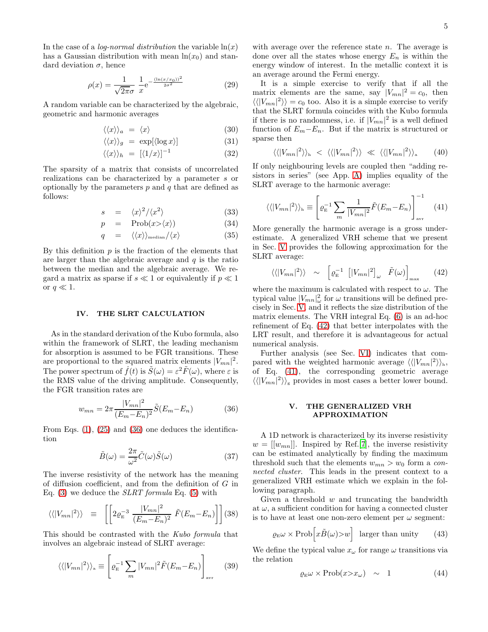In the case of a *log-normal distribution* the variable  $\ln(x)$ has a Gaussian distribution with mean  $ln(x_0)$  and standard deviation  $\sigma$ , hence

<span id="page-4-5"></span>
$$
\rho(x) = \frac{1}{\sqrt{2\pi}\sigma} \frac{1}{x} e^{-\frac{(\ln(x/x_0))^2}{2\sigma^2}}
$$
(29)

A random variable can be characterized by the algebraic, geometric and harmonic averages

$$
\langle \langle x \rangle \rangle_a = \langle x \rangle \tag{30}
$$

$$
\langle \langle x \rangle \rangle_g = \exp[\langle \log x \rangle] \tag{31}
$$

$$
\langle \langle x \rangle \rangle_h = \left[ \langle 1/x \rangle \right]^{-1} \tag{32}
$$

The sparsity of a matrix that consists of uncorrelated realizations can be characterized by a parameter s or optionally by the parameters  $p$  and  $q$  that are defined as follows:

$$
s = \langle x \rangle^2 / \langle x^2 \rangle \tag{33}
$$

$$
p = \text{Prob}(x \ge \langle x \rangle) \tag{34}
$$

$$
q = \langle \langle x \rangle \rangle_{\text{median}} / \langle x \rangle \tag{35}
$$

By this definition  $p$  is the fraction of the elements that are larger than the algebraic average and  $q$  is the ratio between the median and the algebraic average. We regard a matrix as sparse if  $s \ll 1$  or equivalently if  $p \ll 1$ or  $q \ll 1$ .

#### <span id="page-4-0"></span>IV. THE SLRT CALCULATION

As in the standard derivation of the Kubo formula, also within the framework of SLRT, the leading mechanism for absorption is assumed to be FGR transitions. These are proportional to the squared matrix elements  $|V_{mn}|^2$ . The power spectrum of  $\dot{f}(t)$  is  $\tilde{S}(\omega) = \varepsilon^2 \tilde{F}(\omega)$ , where  $\varepsilon$  is the RMS value of the driving amplitude. Consequently, the FGR transition rates are

<span id="page-4-2"></span>
$$
w_{mn} = 2\pi \frac{|V_{mn}|^2}{(E_m - E_n)^2} \tilde{S}(E_m - E_n)
$$
 (36)

From Eqs. [\(1\)](#page-0-3), [\(25\)](#page-3-2) and [\(36\)](#page-4-2) one deduces the identification

$$
\tilde{B}(\omega) = \frac{2\pi}{\omega^2} \tilde{C}(\omega) \tilde{S}(\omega)
$$
\n(37)

The inverse resistivity of the network has the meaning of diffusion coefficient, and from the definition of G in Eq.  $(3)$  we deduce the *SLRT formula* Eq.  $(5)$  with

$$
\langle \langle |V_{mn}|^2 \rangle \rangle \equiv \left[ \left[ 2 \varrho_{\rm E}^{-3} \frac{|V_{mn}|^2}{(E_m - E_n)^2} \tilde{F}(E_m - E_n) \right] \right] (38)
$$

This should be contrasted with the Kubo formula that involves an algebraic instead of SLRT average:

<span id="page-4-6"></span>
$$
\langle \langle |V_{mn}|^2 \rangle \rangle_a \equiv \left[ \varrho_E^{-1} \sum_m |V_{mn}|^2 \tilde{F}(E_m - E_n) \right]_{\text{avr}} \tag{39}
$$

with average over the reference state  $n$ . The average is done over all the states whose energy  $E_n$  is within the energy window of interest. In the metallic context it is an average around the Fermi energy.

It is a simple exercise to verify that if all the matrix elements are the same, say  $|V_{mn}|^2 = c_0$ , then  $\langle \langle |V_{mn}|^2 \rangle \rangle = c_0$  too. Also it is a simple exercise to verify that the SLRT formula coincides with the Kubo formula if there is no randomness, i.e. if  $|V_{mn}|^2$  is a well defined function of  $E_m-E_n$ . But if the matrix is structured or sparse then

$$
\langle \langle |V_{mn}|^2 \rangle \rangle_{\text{h}} \langle \langle |V_{mn}|^2 \rangle \rangle \langle \langle |V_{mn}|^2 \rangle \rangle_{\text{a}} \langle 40 \rangle
$$

If only neighbouring levels are coupled then "adding resistors in series" (see App. [A\)](#page-11-0) implies equality of the SLRT average to the harmonic average:

<span id="page-4-4"></span>
$$
\langle \langle |V_{mn}|^2 \rangle \rangle_{\text{h}} \equiv \left[ \varrho_{\text{E}}^{-1} \sum_{m} \frac{1}{|V_{mn}|^2} \tilde{F}(E_m - E_n) \right]_{\text{avr}}^{-1} \tag{41}
$$

More generally the harmonic average is a gross underestimate. A generalized VRH scheme that we present in Sec. [V](#page-4-1) provides the following approximation for the SLRT average:

<span id="page-4-3"></span>
$$
\langle \langle |V_{mn}|^2 \rangle \rangle \sim \left[ \varrho_{\rm E}^{-1} \left[ |V_{mn}|^2 \right]_{\omega} \tilde{F}(\omega) \right]_{\text{max}} \quad (42)
$$

where the maximum is calculated with respect to  $\omega$ . The typical value  $|V_{mn}|^2_{\omega}$  for  $\omega$  transitions will be defined precisely in Sec. [V,](#page-4-1) and it reflects the size distribution of the matrix elements. The VRH integral Eq. [\(6\)](#page-0-4) is an ad-hoc refinement of Eq. [\(42\)](#page-4-3) that better interpolates with the LRT result, and therefore it is advantageous for actual numerical analysis.

Further analysis (see Sec. [VI\)](#page-5-0) indicates that compared with the weighted harmonic average  $\langle \langle |V_{mn}|^2 \rangle \rangle_h$ , of Eq. [\(41\)](#page-4-4), the corresponding geometric average  $\langle \langle |V_{mn}|^2 \rangle \rangle_{\rm g}$  provides in most cases a better lower bound.

#### <span id="page-4-1"></span>V. THE GENERALIZED VRH APPROXIMATION

A 1D network is characterized by its inverse resistivity  $w = [[w_{mn}]]$ . Inspired by Ref.[\[7\]](#page-13-18), the inverse resistivity can be estimated analytically by finding the maximum threshold such that the elements  $w_{mn} > w_0$  form a connected cluster. This leads in the present context to a generalized VRH estimate which we explain in the following paragraph.

Given a threshold  $w$  and truncating the bandwidth at  $\omega$ , a sufficient condition for having a connected cluster is to have at least one non-zero element per  $\omega$  segment:

$$
\varrho_{\rm E}\omega \times \text{Prob}\Big[x\tilde{B}(\omega) > w\Big] \quad \text{larger than unity} \tag{43}
$$

We define the typical value  $x_{\omega}$  for range  $\omega$  transitions via the relation

$$
\varrho_{\mathcal{E}}\omega \times \text{Prob}(x \gt x_{\omega}) \sim 1 \tag{44}
$$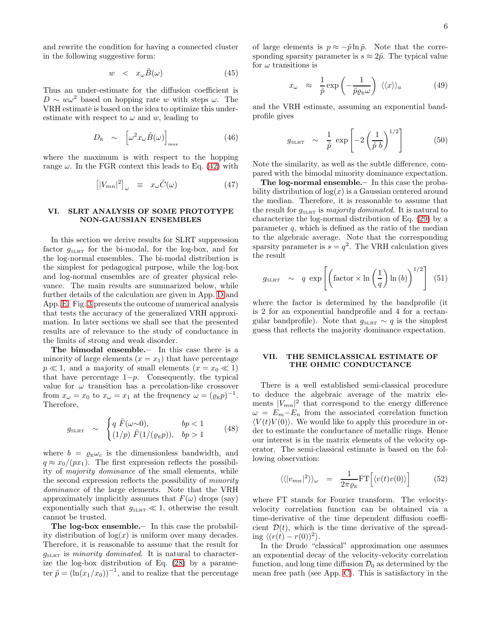and rewrite the condition for having a connected cluster in the following suggestive form:

$$
w \quad < \quad x_{\omega} \tilde{B}(\omega) \tag{45}
$$

Thus an under-estimate for the diffusion coefficient is  $D \sim w\omega^2$  based on hopping rate w with steps  $\omega$ . The VRH estimate is based on the idea to optimize this underestimate with respect to  $\omega$  and  $w$ , leading to

$$
D_{\rm E} \sim \left[ \omega^2 x_{\omega} \tilde{B}(\omega) \right]_{\rm max} \tag{46}
$$

where the maximum is with respect to the hopping range  $\omega$ . In the FGR context this leads to Eq. [\(42\)](#page-4-3) with

$$
\left[|V_{mn}|^2\right]_{\omega} \equiv x_{\omega}\tilde{C}(\omega) \tag{47}
$$

### <span id="page-5-0"></span>VI. SLRT ANALYSIS OF SOME PROTOTYPE NON-GAUSSIAN ENSEMBLES

In this section we derive results for SLRT suppression factor  $g_{\text{SLRT}}$  for the bi-modal, for the log-box, and for the log-normal ensembles. The bi-modal distribution is the simplest for pedagogical purpose, while the log-box and log-normal ensembles are of greater physical relevance. The main results are summarized below, while further details of the calculation are given in App. [D](#page-12-0) and App. [E.](#page-12-1) Fig. [3](#page-14-1) presents the outcome of numerical analysis that tests the accuracy of the generalized VRH approximation. In later sections we shall see that the presented results are of relevance to the study of conductance in the limits of strong and weak disorder.

The bimodal ensemble.– In this case there is a minority of large elements  $(x = x_1)$  that have percentage  $p \ll 1$ , and a majority of small elements  $(x = x_0 \ll 1)$ that have percentage  $1-p$ . Consequently, the typical value for  $\omega$  transition has a percolation-like crossover from  $x_{\omega} = x_0$  to  $x_{\omega} = x_1$  at the frequency  $\omega = (\varrho_{\mathbb{E}} p)^{-1}$ . Therefore,

$$
g_{\text{SLRT}} \sim \begin{cases} q \ \tilde{F}(\omega \sim 0), & bp < 1 \\ (1/p) \ \tilde{F}(1/(\varrho_{\text{E}} p)), & bp > 1 \end{cases} \tag{48}
$$

where  $b = \rho_{E}\omega_{c}$  is the dimensionless bandwidth, and  $q \approx x_0/(px_1)$ . The first expression reflects the possibility of majority dominance of the small elements, while the second expression reflects the possibility of minority dominance of the large elements. Note that the VRH approximately implicitly assumes that  $F(\omega)$  drops (say) exponentially such that  $g_{\text{SLRT}} \ll 1$ , otherwise the result cannot be trusted.

The log-box ensemble.– In this case the probability distribution of  $log(x)$  is uniform over many decades. Therefore, it is reasonable to assume that the result for  $g_{\text{SLET}}$  is minority dominated. It is natural to characterize the log-box distribution of Eq. [\(28\)](#page-3-3) by a parameter  $\tilde{p} = (\ln(x_1/x_0))^{-1}$ , and to realize that the percentage of large elements is  $p \approx -\tilde{p} \ln \tilde{p}$ . Note that the corresponding sparsity parameter is  $s \approx 2\tilde{p}$ . The typical value for  $\omega$  transitions is

$$
x_{\omega} \approx \frac{1}{\tilde{p}} \exp\left(-\frac{1}{\tilde{p}\varrho_{\rm E}\omega}\right) \langle\langle x\rangle\rangle_a \tag{49}
$$

and the VRH estimate, assuming an exponential bandprofile gives

<span id="page-5-3"></span>
$$
g_{\text{SLRT}} \sim \frac{1}{\tilde{p}} \exp\left[-2\left(\frac{1}{\tilde{p}b}\right)^{1/2}\right] \tag{50}
$$

Note the similarity, as well as the subtle difference, compared with the bimodal minority dominance expectation.

The log-normal ensemble.– In this case the probability distribution of  $log(x)$  is a Gaussian centered around the median. Therefore, it is reasonable to assume that the result for  $g_{\text{SLRT}}$  is majority dominated. It is natural to characterize the log-normal distribution of Eq. [\(29\)](#page-4-5) by a parameter  $q$ , which is defined as the ratio of the median to the algebraic average. Note that the corresponding sparsity parameter is  $s = q^2$ . The VRH calculation gives the result

<span id="page-5-2"></span>
$$
g_{\text{SLRT}} \sim q \exp\left[ \left( \text{factor} \times \ln\left(\frac{1}{q}\right) \ln\left(b\right) \right)^{1/2} \right] (51)
$$

where the factor is determined by the bandprofile (it is 2 for an exponential bandprofile and 4 for a rectangular bandprofile). Note that  $g_{\text{SLRT}} \sim q$  is the simplest guess that reflects the majority dominance expectation.

### <span id="page-5-1"></span>VII. THE SEMICLASSICAL ESTIMATE OF THE OHMIC CONDUCTANCE

There is a well established semi-classical procedure to deduce the algebraic average of the matrix elements  $|V_{mn}|^2$  that correspond to the energy difference  $\omega = E_m - E_n$  from the associated correlation function  $\langle V(t)V(0)\rangle$ . We would like to apply this procedure in order to estimate the conductance of metallic rings. Hence our interest is in the matrix elements of the velocity operator. The semi-classical estimate is based on the following observation:

$$
\langle \langle |v_{mn}|^2 \rangle \rangle_{\omega} = \frac{1}{2\pi \varrho_{\rm E}} \text{FT} \Big[ \langle v(t)v(0) \rangle \Big] \tag{52}
$$

where FT stands for Fourier transform. The velocityvelocity correlation function can be obtained via a time-derivative of the time dependent diffusion coefficient  $\mathcal{D}(t)$ , which is the time derivative of the spreading  $\langle (r(t) - r(0))^2 \rangle$ .

In the Drude "classical" approximation one assumes an exponential decay of the velocity-velocity correlation function, and long time diffusion  $\mathcal{D}_0$  as determined by the mean free path (see App. [C\)](#page-11-2). This is satisfactory in the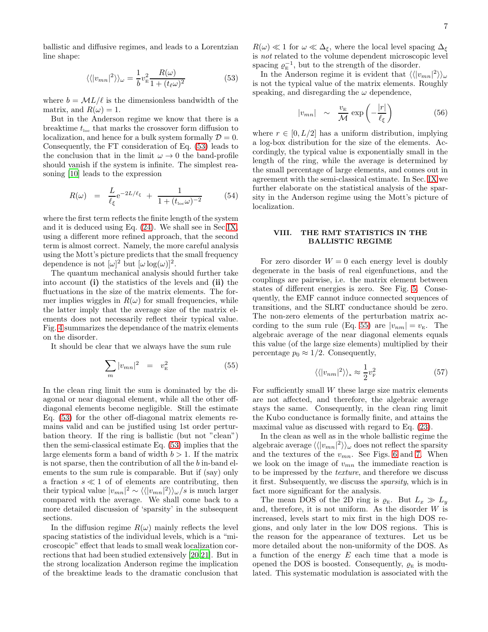ballistic and diffusive regimes, and leads to a Lorentzian line shape:

<span id="page-6-1"></span>
$$
\langle \langle |v_{mn}|^2 \rangle \rangle_{\omega} = \frac{1}{b} v_{\rm E}^2 \frac{R(\omega)}{1 + (t_{\ell} \omega)^2} \tag{53}
$$

where  $b = \mathcal{M}L/\ell$  is the dimensionless bandwidth of the matrix, and  $R(\omega) = 1$ .

But in the Anderson regime we know that there is a breaktime  $t_{\text{loc}}$  that marks the crossover form diffusion to localization, and hence for a bulk system formally  $\mathcal{D} = 0$ . Consequently, the FT consideration of Eq. [\(53\)](#page-6-1) leads to the conclusion that in the limit  $\omega \to 0$  the band-profile should vanish if the system is infinite. The simplest reasoning [\[10\]](#page-13-3) leads to the expression

<span id="page-6-3"></span>
$$
R(\omega) = \frac{L}{\ell_{\xi}} e^{-2L/\ell_{\xi}} + \frac{1}{1 + (t_{\text{loc}}\omega)^{-2}}
$$
(54)

where the first term reflects the finite length of the system and it is deduced using Eq. [\(24\)](#page-3-4). We shall see in Sec[.IX,](#page-7-0) using a different more refined approach, that the second term is almost correct. Namely, the more careful analysis using the Mott's picture predicts that the small frequency dependence is not  $[\omega]^2$  but  $[\omega \log(\omega)]^2$ .

The quantum mechanical analysis should further take into account (i) the statistics of the levels and (ii) the fluctuations in the size of the matrix elements. The former implies wiggles in  $R(\omega)$  for small frequencies, while the latter imply that the average size of the matrix elements does not necessarily reflect their typical value. Fig. [4](#page-15-0) summarizes the dependance of the matrix elements on the disorder.

It should be clear that we always have the sum rule

<span id="page-6-2"></span>
$$
\sum_{m} |v_{mn}|^2 = v_{\rm E}^2 \tag{55}
$$

In the clean ring limit the sum is dominated by the diagonal or near diagonal element, while all the other offdiagonal elements become negligible. Still the estimate Eq. [\(53\)](#page-6-1) for the other off-diagonal matrix elements remains valid and can be justified using 1st order perturbation theory. If the ring is ballistic (but not "clean") then the semi-classical estimate Eq. [\(53\)](#page-6-1) implies that the large elements form a band of width  $b > 1$ . If the matrix is not sparse, then the contribution of all the b in-band elements to the sum rule is comparable. But if (say) only a fraction  $s \ll 1$  of of elements are contributing, then their typical value  $|v_{mn}|^2 \sim \langle \langle |v_{mn}|^2 \rangle \rangle_{\omega}/s$  is much larger compared with the average. We shall come back to a more detailed discussion of 'sparsity' in the subsequent sections.

In the diffusion regime  $R(\omega)$  mainly reflects the level spacing statistics of the individual levels, which is a "microscopic" effect that leads to small weak localization corrections that had been studied extensively [\[20](#page-13-14)[,21](#page-13-15)]. But in the strong localization Anderson regime the implication of the breaktime leads to the dramatic conclusion that

 $R(\omega) \ll 1$  for  $\omega \ll \Delta_{\xi}$ , where the local level spacing  $\Delta_{\xi}$ is not related to the volume dependent microscopic level spacing  $\varrho_{\rm E}^{-1}$ , but to the strength of the disorder.

In the Anderson regime it is evident that  $\langle \langle |v_{mn}|^2 \rangle \rangle_{\omega}$ is not the typical value of the matrix elements. Roughly speaking, and disregarding the  $\omega$  dependence,

<span id="page-6-4"></span>
$$
|v_{mn}| \sim \frac{v_{\rm E}}{\mathcal{M}} \exp\left(-\frac{|r|}{\ell_{\xi}}\right) \tag{56}
$$

where  $r \in [0, L/2]$  has a uniform distribution, implying a log-box distribution for the size of the elements. Accordingly, the typical value is exponentially small in the length of the ring, while the average is determined by the small percentage of large elements, and comes out in agreement with the semi-classical estimate. In Sec. [IX](#page-7-0) we further elaborate on the statistical analysis of the sparsity in the Anderson regime using the Mott's picture of localization.

### <span id="page-6-0"></span>VIII. THE RMT STATISTICS IN THE BALLISTIC REGIME

For zero disorder  $W = 0$  each energy level is doubly degenerate in the basis of real eigenfunctions, and the couplings are pairwise, i.e. the matrix element between states of different energies is zero. See Fig. [5.](#page-15-1) Consequently, the EMF cannot induce connected sequences of transitions, and the SLRT conductance should be zero. The non-zero elements of the perturbation matrix ac-cording to the sum rule (Eq. [55\)](#page-6-2) are  $|v_{nm}| = v_E$ . The algebraic average of the near diagonal elements equals this value (of the large size elements) multiplied by their percentage  $p_0 \approx 1/2$ . Consequently,

$$
\langle \langle |v_{nm}|^2 \rangle \rangle_a \approx \frac{1}{2} v_{\rm F}^2 \tag{57}
$$

For sufficiently small  $W$  these large size matrix elements are not affected, and therefore, the algebraic average stays the same. Consequently, in the clean ring limit the Kubo conductance is formally finite, and attains the maximal value as discussed with regard to Eq. [\(23\)](#page-3-5).

In the clean as well as in the whole ballistic regime the algebraic average  $\langle \langle |v_{mn}|^2 \rangle \rangle_{\omega}$  does not reflect the sparsity and the textures of the  $v_{mn}$ . See Figs. [6](#page-15-2) and [7.](#page-15-3) When we look on the image of  $v_{mn}$  the immediate reaction is to be impressed by the texture, and therefore we discuss it first. Subsequently, we discuss the sparsity, which is in fact more significant for the analysis.

The mean DOS of the 2D ring is  $\rho_{\rm E}$ . But  $L_x \gg L_y$ and, therefore, it is not uniform. As the disorder  $W$  is increased, levels start to mix first in the high DOS regions, and only later in the low DOS regions. This is the reason for the appearance of textures. Let us be more detailed about the non-uniformity of the DOS. As a function of the energy  $E$  each time that a mode is opened the DOS is boosted. Consequently,  $\rho_{\rm E}$  is modulated. This systematic modulation is associated with the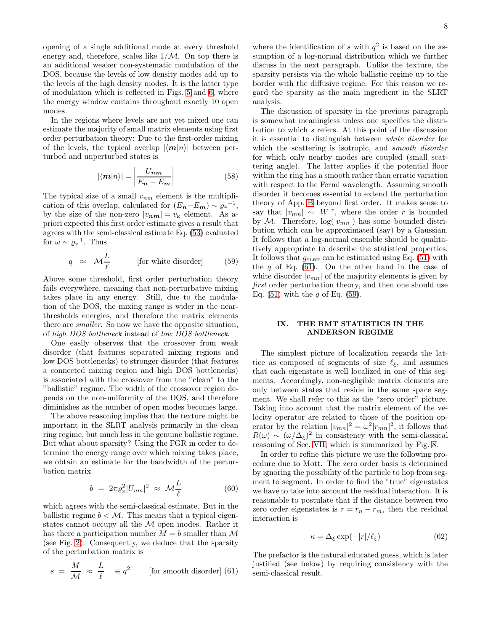opening of a single additional mode at every threshold energy and, therefore, scales like  $1/M$ . On top there is an additional weaker non-systematic modulation of the DOS, because the levels of low density modes add up to the levels of the high density modes. It is the latter type of modulation which is reflected in Figs. [5](#page-15-1) and [6,](#page-15-2) where the energy window contains throughout exactly 10 open modes.

In the regions where levels are not yet mixed one can estimate the majority of small matrix elements using first order perturbation theory: Due to the first-order mixing of the levels, the typical overlap  $|\langle m|n\rangle|$  between perturbed and unperturbed states is

$$
|\langle \mathbf{m} | n \rangle| = \left| \frac{U_{\mathbf{n}\mathbf{m}}}{E_{\mathbf{n}} - E_{\mathbf{m}}} \right| \tag{58}
$$

The typical size of a small  $v_{nm}$  element is the multiplication of this overlap, calculated for  $(E_n - E_m) \sim \varrho_E^{-1}$ , by the size of the non-zero  $|v_{nm}| = v_{\rm E}$  element. As apriori expected this first order estimate gives a result that agrees with the semi-classical estimate Eq. [\(53\)](#page-6-1) evaluated for  $\omega \sim \varrho_{\rm E}^{-1}$ . Thus

<span id="page-7-2"></span>
$$
q \approx \mathcal{M}\frac{L}{\ell} \quad \text{[for white disorder]} \quad (59)
$$

Above some threshold, first order perturbation theory fails everywhere, meaning that non-perturbative mixing takes place in any energy. Still, due to the modulation of the DOS, the mixing range is wider in the nearthresholds energies, and therefore the matrix elements there are smaller. So now we have the opposite situation, of high DOS bottleneck instead of low DOS bottleneck.

One easily observes that the crossover from weak disorder (that features separated mixing regions and low DOS bottlenecks) to stronger disorder (that features a connected mixing region and high DOS bottlenecks) is associated with the crossover from the "clean" to the "ballistic" regime. The width of the crossover region depends on the non-uniformity of the DOS, and therefore diminishes as the number of open modes becomes large.

The above reasoning implies that the texture might be important in the SLRT analysis primarily in the clean ring regime, but much less in the genuine ballistic regime. But what about sparsity? Using the FGR in order to determine the energy range over which mixing takes place, we obtain an estimate for the bandwidth of the perturbation matrix

$$
b = 2\pi \varrho_{\rm E}^2 |U_{nm}|^2 \approx \mathcal{M} \frac{L}{\ell} \tag{60}
$$

which agrees with the semi-classical estimate. But in the ballistic regime  $b < M$ . This means that a typical eigenstates cannot occupy all the  $M$  open modes. Rather it has there a participation number  $M = b$  smaller than  $\mathcal M$ (see Fig. [2\)](#page-14-0). Consequently, we deduce that the sparsity of the perturbation matrix is

<span id="page-7-1"></span>
$$
s = \frac{M}{\mathcal{M}} \approx \frac{L}{\ell} \equiv q^2
$$
 [for smooth disorder] (61)

where the identification of s with  $q^2$  is based on the assumption of a log-normal distribution which we further discuss in the next paragraph. Unlike the texture, the sparsity persists via the whole ballistic regime up to the border with the diffusive regime. For this reason we regard the sparsity as the main ingredient in the SLRT analysis.

The discussion of sparsity in the previous paragraph is somewhat meaningless unless one specifies the distribution to which s refers. At this point of the discussion it is essential to distinguish between white disorder for which the scattering is isotropic, and *smooth disorder* for which only nearby modes are coupled (small scattering angle). The latter applies if the potential floor within the ring has a smooth rather than erratic variation with respect to the Fermi wavelength. Assuming smooth disorder it becomes essential to extend the perturbation theory of App. [B](#page-11-1) beyond first order. It makes sense to say that  $|v_{mn}| \sim |W|^r$ , where the order r is bounded by M. Therefore,  $log(|v_{mn}|)$  has some bounded distribution which can be approximated (say) by a Gaussian. It follows that a log-normal ensemble should be qualitatively appropriate to describe the statistical properties. It follows that  $g_{SLRT}$  can be estimated using Eq. [\(51\)](#page-5-2) with the  $q$  of Eq. [\(61\)](#page-7-1). On the other hand in the case of white disorder  $|v_{mn}|$  of the majority elements is given by first order perturbation theory, and then one should use Eq.  $(51)$  with the q of Eq.  $(59)$ .

### <span id="page-7-0"></span>IX. THE RMT STATISTICS IN THE ANDERSON REGIME

The simplest picture of localization regards the lattice as composed of segments of size  $\ell_{\xi}$ , and assumes that each eigenstate is well localized in one of this segments. Accordingly, non-negligible matrix elements are only between states that reside in the same space segment. We shall refer to this as the "zero order" picture. Taking into account that the matrix element of the velocity operator are related to those of the position operator by the relation  $|v_{mn}|^2 = \omega^2 |r_{mn}|^2$ , it follows that  $R(\omega) \sim (\omega/\Delta_{\xi})^2$  in consistency with the semi-classical reasoning of Sec. [VII,](#page-5-1) which is summarized by Fig. [8.](#page-15-4)

In order to refine this picture we use the following procedure due to Mott. The zero order basis is determined by ignoring the possibility of the particle to hop from segment to segment. In order to find the "true" eigenstates we have to take into account the residual interaction. It is reasonable to postulate that if the distance between two zero order eigenstates is  $r = r_n - r_m$ , then the residual interaction is

$$
\kappa = \Delta_{\xi} \exp(-|r|/\ell_{\xi}) \tag{62}
$$

The prefactor is the natural educated guess, which is later justified (see below) by requiring consistency with the semi-classical result.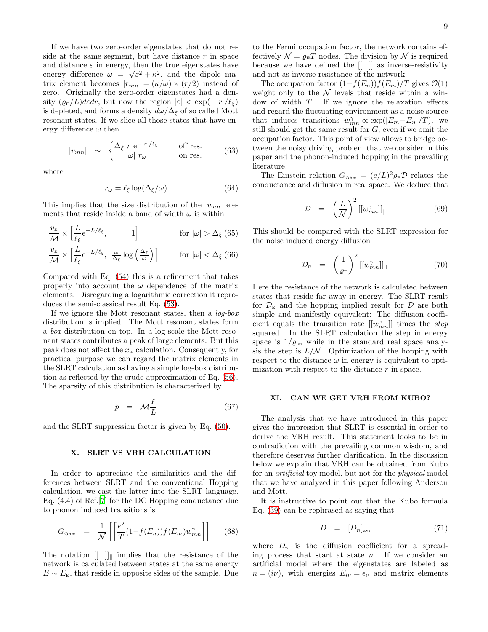If we have two zero-order eigenstates that do not reside at the same segment, but have distance  $r$  in space and distance  $\varepsilon$  in energy, then the true eigenstates have energy difference  $\omega = \sqrt{\epsilon^2 + \kappa^2}$ , and the dipole matrix element becomes  $|r_{mn}| = (\kappa/\omega) \times (r/2)$  instead of zero. Originally the zero-order eigenstates had a density  $(\rho_{\rm E}/L)d\varepsilon dr$ , but now the region  $|\varepsilon| < \exp(-|r|/\ell_{\varepsilon})$ is depleted, and forms a density  $d\omega/\Delta_{\xi}$  of so called Mott resonant states. If we slice all those states that have energy difference  $\omega$  then

$$
|v_{mn}| \sim \begin{cases} \Delta_{\xi} \ r \ \mathrm{e}^{-|r|/\ell_{\xi}} & \text{off res.} \\ |\omega| \ r_{\omega} & \text{on res.} \end{cases} \tag{63}
$$

where

$$
r_{\omega} = \ell_{\xi} \log(\Delta_{\xi}/\omega) \tag{64}
$$

This implies that the size distribution of the  $|v_{mn}|$  elements that reside inside a band of width  $\omega$  is within

$$
\frac{v_{\rm E}}{\mathcal{M}} \times \left[ \frac{L}{\ell_{\xi}} e^{-L/\ell_{\xi}}, \qquad 1 \right] \qquad \text{for } |\omega| > \Delta_{\xi} \text{ (65)}
$$
\n
$$
\frac{v_{\rm E}}{\mathcal{M}} \times \left[ \frac{L}{\ell_{\xi}} e^{-L/\ell_{\xi}}, \ \frac{\omega}{\Delta_{\xi}} \log \left( \frac{\Delta_{\xi}}{\omega} \right) \right] \qquad \text{for } |\omega| < \Delta_{\xi} \text{ (66)}
$$

Compared with Eq. [\(54\)](#page-6-3) this is a refinement that takes properly into account the  $\omega$  dependence of the matrix elements. Disregarding a logarithmic correction it reproduces the semi-classical result Eq. [\(53\)](#page-6-1).

If we ignore the Mott resonant states, then a log-box distribution is implied. The Mott resonant states form a box distribution on top. In a log-scale the Mott resonant states contributes a peak of large elements. But this peak does not affect the  $x_{\omega}$  calculation. Consequently, for practical purpose we can regard the matrix elements in the SLRT calculation as having a simple log-box distribution as reflected by the crude approximation of Eq. [\(56\)](#page-6-4). The sparsity of this distribution is characterized by

<span id="page-8-2"></span>
$$
\tilde{p} = \mathcal{M}\frac{\ell}{L} \tag{67}
$$

and the SLRT suppression factor is given by Eq. [\(50\)](#page-5-3).

### <span id="page-8-0"></span>X. SLRT VS VRH CALCULATION

In order to appreciate the similarities and the differences between SLRT and the conventional Hopping calculation, we cast the latter into the SLRT language. Eq. (4.4) of Ref.[\[7\]](#page-13-18) for the DC Hopping conductance due to phonon induced transitions is

$$
G_{\text{Ohm}} = \frac{1}{\mathcal{N}} \left[ \left[ \frac{e^2}{T} (1 - f(E_n)) f(E_m) w_{mn}^{\gamma} \right] \right]_{\parallel} \quad (68)
$$

The notation  $[[...]_{\parallel}$  implies that the resistance of the network is calculated between states at the same energy  $E \sim E_{\rm E}$ , that reside in opposite sides of the sample. Due to the Fermi occupation factor, the network contains effectively  $\mathcal{N} = \varrho_{\rm E} T$  nodes. The division by  $\mathcal{N}$  is required because we have defined the [[...]] as inverse-resistivity and not as inverse-resistance of the network.

The occupation factor  $(1-f(E_n))f(E_m)/T$  gives  $\mathcal{O}(1)$ weight only to the  $\mathcal N$  levels that reside within a window of width  $T$ . If we ignore the relaxation effects and regard the fluctuating environment as a noise source that induces transitions  $w_{mn}^{\gamma} \propto \exp(|E_m - E_n|/T)$ , we still should get the same result for  $G$ , even if we omit the occupation factor. This point of view allows to bridge between the noisy driving problem that we consider in this paper and the phonon-induced hopping in the prevailing literature.

The Einstein relation  $G_{\text{Ohm}} = (e/L)^2 \varrho_{\text{E}} \mathcal{D}$  relates the conductance and diffusion in real space. We deduce that

$$
\mathcal{D} = \left(\frac{L}{\mathcal{N}}\right)^2 \left[ [w_{mn}^{\gamma}] \right]_{\parallel} \tag{69}
$$

This should be compared with the SLRT expression for the noise induced energy diffusion

$$
\mathcal{D}_{\rm E} = \left(\frac{1}{\varrho_{\rm E}}\right)^2 \left[ [w_{mn}^{\gamma}] \right]_{\perp} \tag{70}
$$

Here the resistance of the network is calculated between states that reside far away in energy. The SLRT result for  $\mathcal{D}_E$  and the hopping implied result for  $\mathcal D$  are both simple and manifestly equivalent: The diffusion coefficient equals the transition rate  $[[w_m^{\gamma}]$  times the *step* squared. In the SLRT calculation the step in energy space is  $1/\varrho_{\rm E}$ , while in the standard real space analysis the step is  $L/N$ . Optimization of the hopping with respect to the distance  $\omega$  in energy is equivalent to optimization with respect to the distance r in space.

#### <span id="page-8-1"></span>XI. CAN WE GET VRH FROM KUBO?

The analysis that we have introduced in this paper gives the impression that SLRT is essential in order to derive the VRH result. This statement looks to be in contradiction with the prevailing common wisdom, and therefore deserves further clarification. In the discussion below we explain that VRH can be obtained from Kubo for an artificial toy model, but not for the physical model that we have analyzed in this paper following Anderson and Mott.

It is instructive to point out that the Kubo formula Eq. [\(39\)](#page-4-6) can be rephrased as saying that

$$
D = [D_n]_{\text{avr}} \tag{71}
$$

where  $D_n$  is the diffusion coefficient for a spreading process that start at state n. If we consider an artificial model where the eigenstates are labeled as  $n = (i\nu)$ , with energies  $E_{i\nu} = \epsilon_{\nu}$  and matrix elements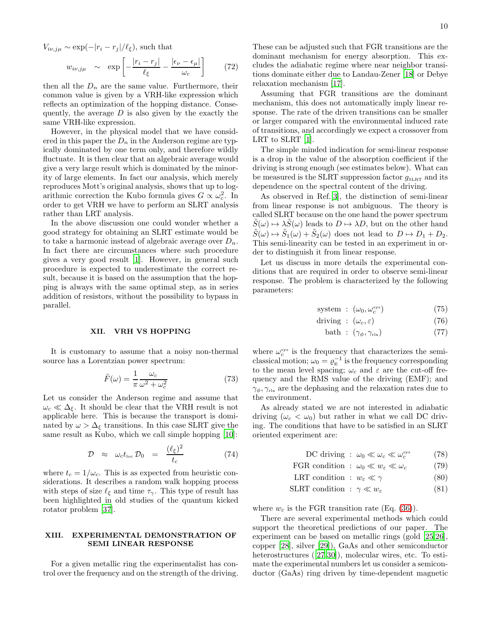$V_{i\nu,j\mu} \sim \exp(-|r_i - r_j|/\ell_{\xi}),$  such that

$$
w_{i\nu,j\mu} \sim \exp\left[-\frac{|r_i - r_j|}{\ell_{\xi}} - \frac{|\epsilon_{\nu} - \epsilon_{\mu}|}{\omega_c}\right] \qquad (72)
$$

then all the  $D_n$  are the same value. Furthermore, their common value is given by a VRH-like expression which reflects an optimization of the hopping distance. Consequently, the average  $D$  is also given by the exactly the same VRH-like expression.

However, in the physical model that we have considered in this paper the  $D_n$  in the Anderson regime are typically dominated by one term only, and therefore wildly fluctuate. It is then clear that an algebraic average would give a very large result which is dominated by the minority of large elements. In fact our analysis, which merely reproduces Mott's original analysis, shows that up to logarithmic correction the Kubo formula gives  $G \propto \omega_c^2$ . In order to get VRH we have to perform an SLRT analysis rather than LRT analysis.

In the above discussion one could wonder whether a good strategy for obtaining an SLRT estimate would be to take a harmonic instead of algebraic average over  $D_n$ . In fact there are circumstances where such procedure gives a very good result [\[1](#page-13-0)]. However, in general such procedure is expected to underestimate the correct result, because it is based on the assumption that the hopping is always with the same optimal step, as in series addition of resistors, without the possibility to bypass in parallel.

#### <span id="page-9-0"></span>XII. VRH VS HOPPING

It is customary to assume that a noisy non-thermal source has a Lorentzian power spectrum:

$$
\tilde{F}(\omega) = \frac{1}{\pi} \frac{\omega_c}{\omega^2 + \omega_c^2}
$$
\n(73)

Let us consider the Anderson regime and assume that  $\omega_c \ll \Delta_{\xi}$ . It should be clear that the VRH result is not applicable here. This is because the transport is dominated by  $\omega > \Delta_{\xi}$  transitions. In this case SLRT give the same result as Kubo, which we call simple hopping [\[10\]](#page-13-3):

$$
\mathcal{D} \approx \omega_c t_{\text{loc}} \mathcal{D}_0 = \frac{(\ell_{\xi})^2}{t_c} \tag{74}
$$

where  $t_c = 1/\omega_c$ . This is as expected from heuristic considerations. It describes a random walk hopping process with steps of size  $\ell_{\xi}$  and time  $\tau_{\gamma}$ . This type of result has been highlighted in old studies of the quantum kicked rotator problem [\[37](#page-13-19)].

### <span id="page-9-1"></span>XIII. EXPERIMENTAL DEMONSTRATION OF SEMI LINEAR RESPONSE

For a given metallic ring the experimentalist has control over the frequency and on the strength of the driving.

10

These can be adjusted such that FGR transitions are the dominant mechanism for energy absorption. This excludes the adiabatic regime where near neighbor transitions dominate either due to Landau-Zener [\[18](#page-13-12)] or Debye relaxation mechanism [\[17\]](#page-13-11).

Assuming that FGR transitions are the dominant mechanism, this does not automatically imply linear response. The rate of the driven transitions can be smaller or larger compared with the environmental induced rate of transitions, and accordingly we expect a crossover from LRT to SLRT [\[1\]](#page-13-0).

The simple minded indication for semi-linear response is a drop in the value of the absorption coefficient if the driving is strong enough (see estimates below). What can be measured is the SLRT suppression factor  $q_{SLRT}$  and its dependence on the spectral content of the driving.

As observed in Ref.[\[3](#page-13-1)], the distinction of semi-linear from linear response is not ambiguous. The theory is called SLRT because on the one hand the power spectrum  $\tilde{S}(\omega) \mapsto \lambda \tilde{S}(\omega)$  leads to  $D \mapsto \lambda D$ , but on the other hand  $\tilde{S}(\omega) \mapsto \tilde{S}_1(\omega) + \tilde{S}_2(\omega)$  does not lead to  $D \mapsto D_1 + D_2$ . This semi-linearity can be tested in an experiment in order to distinguish it from linear response.

Let us discuss in more details the experimental conditions that are required in order to observe semi-linear response. The problem is characterized by the following parameters:

$$
system : (\omega_0, \omega_c^{sys}) \tag{75}
$$

$$
driving : (\omega_c, \varepsilon) \tag{76}
$$

$$
bath : (\gamma_{\phi}, \gamma_{\text{rlx}}) \tag{77}
$$

where  $\omega_c^{\text{sys}}$  is the frequency that characterizes the semiclassical motion;  $\omega_0 = \varrho_{\rm E}^{-1}$  is the frequency corresponding to the mean level spacing;  $\omega_c$  and  $\varepsilon$  are the cut-off frequency and the RMS value of the driving (EMF); and  $\gamma_{\phi}, \gamma_{\text{rlx}}$  are the dephasing and the relaxation rates due to the environment.

As already stated we are not interested in adiabatic driving  $(\omega_c < \omega_0)$  but rather in what we call DC driving. The conditions that have to be satisfied in an SLRT oriented experiment are:

DC driving : 
$$
\omega_0 \ll \omega_c \ll \omega_c^{\text{sys}}
$$
 (78)

$$
\text{FGR condition}: \ \omega_0 \ll w_{\varepsilon} \ll \omega_c \tag{79}
$$

LRT condition :  $w_{\varepsilon} \ll \gamma$  (80)<br>SLRT condition :  $\gamma \ll w$  (81)

SLRT condition : 
$$
\gamma \ll w_{\varepsilon}
$$
 (81)

where  $w_{\varepsilon}$  is the FGR transition rate (Eq. [\(36\)](#page-4-2)).

There are several experimental methods which could support the theoretical predictions of our paper. The experiment can be based on metallic rings (gold [\[25](#page-13-20)[,26\]](#page-13-21), copper [\[28\]](#page-13-22), silver [\[29\]](#page-13-23)), GaAs and other semiconductor heterostructures ([\[27](#page-13-24)[,30\]](#page-13-25)), molecular wires, etc. To estimate the experimental numbers let us consider a semiconductor (GaAs) ring driven by time-dependent magnetic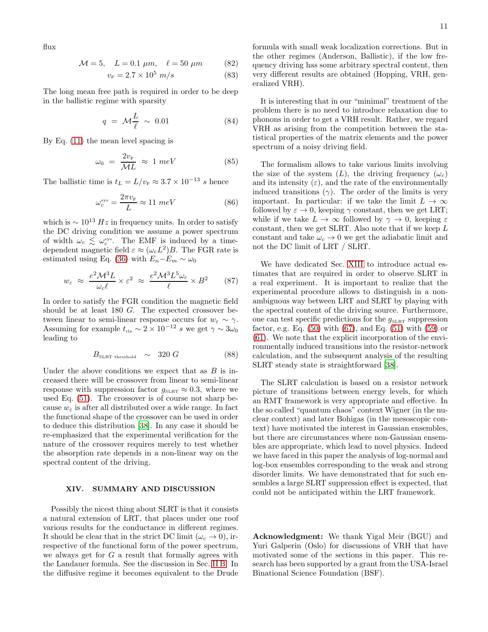flux

$$
\mathcal{M} = 5, \quad L = 0.1 \ \mu m, \quad \ell = 50 \ \mu m \tag{82}
$$

$$
v_{\rm F} = 2.7 \times 10^5 \ m/s \tag{83}
$$

The long mean free path is required in order to be deep in the ballistic regime with sparsity

$$
q = \mathcal{M}\frac{L}{\ell} \sim 0.01 \tag{84}
$$

By Eq. [\(11\)](#page-1-1) the mean level spacing is

$$
\omega_0 = \frac{2v_{\rm F}}{\mathcal{M}L} \approx 1 \ meV \tag{85}
$$

The ballistic time is  $t_L = L/v_F \approx 3.7 \times 10^{-13}$  s hence

$$
\omega_c^{\rm sys} = \frac{2\pi v_{\rm F}}{L} \approx 11 \ meV \tag{86}
$$

which is  $\sim 10^{13} Hz$  in frequency units. In order to satisfy the DC driving condition we assume a power spectrum of width  $\omega_c \leq \omega_c^{\rm sys}$ . The EMF is induced by a timedependent magnetic field  $\varepsilon \approx (\omega_c L^2)B$ . The FGR rate is estimated using Eq. [\(36\)](#page-4-2) with  $E_n-E_m \sim \omega_0$ 

$$
w_{\varepsilon} \approx \frac{e^2 \mathcal{M}^3 L}{\omega_c \ell} \times \varepsilon^2 \approx \frac{e^2 \mathcal{M}^3 L^5 \omega_c}{\ell} \times B^2 \qquad (87)
$$

In order to satisfy the FGR condition the magnetic field should be at least 180 G. The expected crossover between linear to semi-linear response occurs for  $w_{\varepsilon} \sim \gamma$ . Assuming for example  $t_{\rm rlx} \sim 2 \times 10^{-12} s$  we get  $\gamma \sim 3\omega_0$ leading to

$$
B_{\text{SLRT threshold}} \sim 320 G \tag{88}
$$

Under the above conditions we expect that as  $B$  is increased there will be crossover from linear to semi-linear response with suppression factor  $g_{\text{SLRT}} \approx 0.3$ , where we used Eq. [\(51\)](#page-5-2). The crossover is of course not sharp because  $w_{\varepsilon}$  is after all distributed over a wide range. In fact the functional shape of the crossover can be used in order to deduce this distribution [\[38\]](#page-13-26). In any case it should be re-emphasized that the experimental verification for the nature of the crossover requires merely to test whether the absorption rate depends in a non-linear way on the spectral content of the driving.

#### <span id="page-10-0"></span>XIV. SUMMARY AND DISCUSSION

Possibly the nicest thing about SLRT is that it consists a natural extension of LRT, that places under one roof various results for the conductance in different regimes. It should be clear that in the strict DC limit  $(\omega_c \rightarrow 0)$ , irrespective of the functional form of the power spectrum, we always get for  $G$  a result that formally agrees with the Landauer formula. See the discussion in Sec. [II B.](#page-2-1) In the diffusive regime it becomes equivalent to the Drude

formula with small weak localization corrections. But in the other regimes (Anderson, Ballistic), if the low frequency driving has some arbitrary spectral content, then very different results are obtained (Hopping, VRH, generalized VRH).

It is interesting that in our "minimal" treatment of the problem there is no need to introduce relaxation due to phonons in order to get a VRH result. Rather, we regard VRH as arising from the competition between the statistical properties of the matrix elements and the power spectrum of a noisy driving field.

The formalism allows to take various limits involving the size of the system  $(L)$ , the driving frequency  $(\omega_c)$ and its intensity  $(\varepsilon)$ , and the rate of the environmentally induced transitions  $(\gamma)$ . The order of the limits is very important. In particular: if we take the limit  $L \to \infty$ followed by  $\varepsilon \to 0$ , keeping  $\gamma$  constant, then we get LRT; while if we take  $L \to \infty$  followed by  $\gamma \to 0$ , keeping  $\varepsilon$ constant, then we get SLRT. Also note that if we keep  $L$ constant and take  $\omega_c \rightarrow 0$  we get the adiabatic limit and not the DC limit of LRT / SLRT.

We have dedicated Sec. [XIII](#page-9-1) to introduce actual estimates that are required in order to observe SLRT in a real experiment. It is important to realize that the experimental procedure allows to distinguish in a nonambiguous way between LRT and SLRT by playing with the spectral content of the driving source. Furthermore, one can test specific predictions for the  $g_{\text{SLRT}}$  suppression factor, e.g. Eq.  $(50)$  with  $(67)$ , and Eq.  $(51)$  with  $(59)$  or [\(61\)](#page-7-1). We note that the explicit incorporation of the environmentally induced transitions into the resistor-network calculation, and the subsequent analysis of the resulting SLRT steady state is straightforward [\[38\]](#page-13-26).

The SLRT calculation is based on a resistor network picture of transitions between energy levels, for which an RMT framework is very appropriate and effective. In the so called "quantum chaos" context Wigner (in the nuclear context) and later Bohigas (in the mesoscopic context) have motivated the interest in Gaussian ensembles, but there are circumstances where non-Gaussian ensembles are appropriate, which lead to novel physics. Indeed we have faced in this paper the analysis of log-normal and log-box ensembles corresponding to the weak and strong disorder limits. We have demonstrated that for such ensembles a large SLRT suppression effect is expected, that could not be anticipated within the LRT framework.

Acknowledgment: We thank Yigal Meir (BGU) and Yuri Galperin (Oslo) for discussions of VRH that have motivated some of the sections in this paper. This research has been supported by a grant from the USA-Israel Binational Science Foundation (BSF).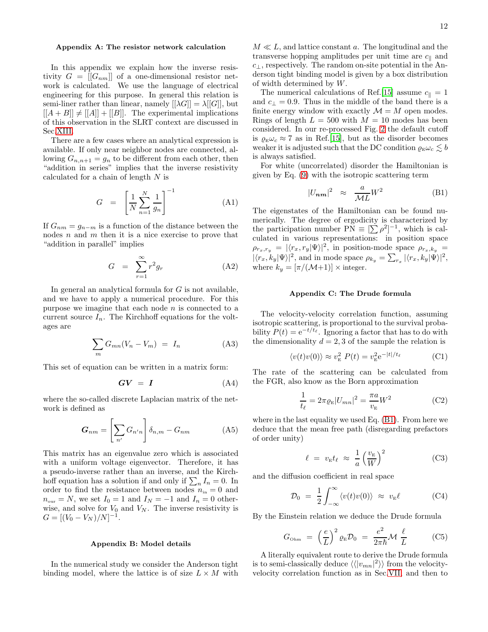#### <span id="page-11-0"></span>Appendix A: The resistor network calculation

In this appendix we explain how the inverse resistivity  $G = [[G_{nm}]]$  of a one-dimensional resistor network is calculated. We use the language of electrical engineering for this purpose. In general this relation is semi-liner rather than linear, namely  $[|\lambda G|] = \lambda |[G]|$ , but  $[[A + B]] \neq [[A]] + [[B]].$  The experimental implications of this observation in the SLRT context are discussed in Sec[.XIII.](#page-9-1)

There are a few cases where an analytical expression is available. If only near neighbor nodes are connected, allowing  $G_{n,n+1} = g_n$  to be different from each other, then "addition in series" implies that the inverse resistivity calculated for a chain of length N is

$$
G = \left[\frac{1}{N} \sum_{n=1}^{N} \frac{1}{g_n}\right]^{-1} \tag{A1}
$$

If  $G_{nm} = g_{n-m}$  is a function of the distance between the nodes  $n$  and  $m$  then it is a nice exercise to prove that "addition in parallel" implies

$$
G = \sum_{r=1}^{\infty} r^2 g_r \tag{A2}
$$

In general an analytical formula for  $G$  is not available, and we have to apply a numerical procedure. For this purpose we imagine that each node  $n$  is connected to a current source  $I_n$ . The Kirchhoff equations for the voltages are

$$
\sum_{m} G_{mn}(V_n - V_m) = I_n \tag{A3}
$$

This set of equation can be written in a matrix form:

$$
GV = I \tag{A4}
$$

where the so-called discrete Laplacian matrix of the network is defined as

$$
G_{nm} = \left[\sum_{n'} G_{n'n}\right] \delta_{n,m} - G_{nm} \tag{A5}
$$

This matrix has an eigenvalue zero which is associated with a uniform voltage eigenvector. Therefore, it has a pseudo-inverse rather than an inverse, and the Kirchhoff equation has a solution if and only if  $\sum_n I_n = 0$ . In order to find the resistance between nodes  $n_{\rm in} = 0$  and  $n_{\text{our}} = N$ , we set  $I_0 = 1$  and  $I_N = -1$  and  $I_n = 0$  otherwise, and solve for  $V_0$  and  $V_N$ . The inverse resistivity is  $G = [(V_0 - V_N)/N]^{-1}.$ 

#### <span id="page-11-1"></span>Appendix B: Model details

In the numerical study we consider the Anderson tight binding model, where the lattice is of size  $L \times M$  with

 $M \ll L$ , and lattice constant a. The longitudinal and the transverse hopping amplitudes per unit time are  $c_{\parallel}$  and  $c_{\perp}$ , respectively. The random on-site potential in the Anderson tight binding model is given by a box distribution of width determined by W.

The numerical calculations of Ref.[\[15](#page-13-6)] assume  $c_{\parallel} = 1$ and  $c_{\perp} = 0.9$ . Thus in the middle of the band there is a finite energy window with exactly  $\mathcal{M} = M$  open modes. Rings of length  $L = 500$  with  $M = 10$  modes has been considered. In our re-processed Fig. [2](#page-14-0) the default cutoff is  $\rho_{E}\omega_{c} \approx 7$  as in Ref.[\[15\]](#page-13-6), but as the disorder becomes weaker it is adjusted such that the DC condition  $\varrho_{E}\omega_{c} \lesssim b$ is always satisfied.

For white (uncorrelated) disorder the Hamiltonian is given by Eq. [\(9\)](#page-1-2) with the isotropic scattering term

<span id="page-11-3"></span>
$$
|U_{nm}|^2 \approx \frac{a}{\mathcal{M}L} W^2 \tag{B1}
$$

The eigenstates of the Hamiltonian can be found numerically. The degree of ergodicity is characterized by the participation number  $\overline{PN} \equiv [\sum \rho^2]^{-1}$ , which is calculated in various representations: in position space  $\rho_{r_x,r_y} = |\langle r_x, r_y | \Psi \rangle|^2$ , in position-mode space  $\rho_{r_x,k_y}$  =  $|\langle r_x, k_y|\Psi\rangle|^2$ , and in mode space  $\rho_{k_y} = \sum_{r_x} |\langle r_x, k_y|\Psi\rangle|^2$ , where  $k_y = [\pi/(\mathcal{M}+1)] \times \text{integer.}$ 

#### <span id="page-11-2"></span>Appendix C: The Drude formula

The velocity-velocity correlation function, assuming isotropic scattering, is proportional to the survival probability  $P(t) = e^{-t/t_{\ell}}$ . Ignoring a factor that has to do with the dimensionality  $d = 2, 3$  of the sample the relation is

$$
\langle v(t)v(0)\rangle \approx v_{\rm E}^2 P(t) = v_{\rm E}^2 e^{-|t|/t_{\ell}} \tag{C1}
$$

The rate of the scattering can be calculated from the FGR, also know as the Born approximation

$$
\frac{1}{t_{\ell}} = 2\pi \varrho_{\rm E} |U_{mn}|^2 = \frac{\pi a}{v_{\rm E}} W^2
$$
 (C2)

where in the last equality we used Eq. [\(B1\)](#page-11-3). From here we deduce that the mean free path (disregarding prefactors of order unity)

$$
\ell = v_{\rm E} t_{\ell} \approx \frac{1}{a} \left(\frac{v_{\rm E}}{W}\right)^2 \tag{C3}
$$

and the diffusion coefficient in real space

$$
\mathcal{D}_0 = \frac{1}{2} \int_{-\infty}^{\infty} \langle v(t)v(0) \rangle \approx v_{\rm E} \ell \tag{C4}
$$

By the Einstein relation we deduce the Drude formula

$$
G_{\text{Ohm}} = \left(\frac{e}{L}\right)^2 \varrho_{\text{E}} \mathcal{D}_0 = \frac{e^2}{2\pi\hbar} \mathcal{M} \frac{\ell}{L} \tag{C5}
$$

A literally equivalent route to derive the Drude formula is to semi-classically deduce  $\langle \langle |v_{mn}|^2 \rangle \rangle$  from the velocityvelocity correlation function as in Sec[.VII,](#page-5-1) and then to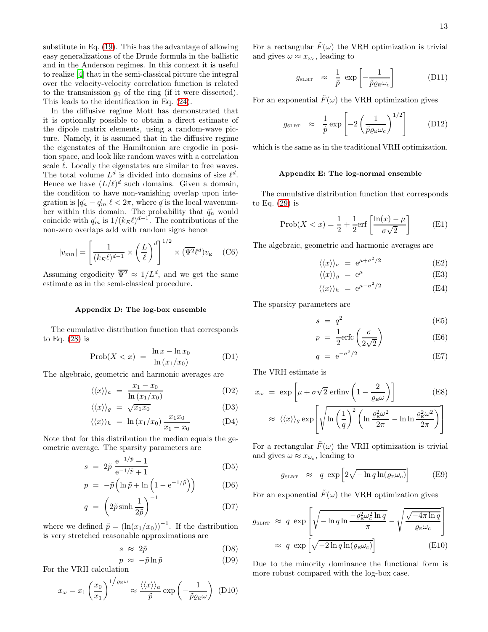substitute in Eq. [\(19\)](#page-2-2). This has the advantage of allowing easy generalizations of the Drude formula in the ballistic and in the Anderson regimes. In this context it is useful to realize [\[4](#page-13-27)] that in the semi-classical picture the integral over the velocity-velocity correlation function is related to the transmission  $g_0$  of the ring (if it were dissected). This leads to the identification in Eq. [\(24\)](#page-3-4).

In the diffusive regime Mott has demonstrated that it is optionally possible to obtain a direct estimate of the dipole matrix elements, using a random-wave picture. Namely, it is assumed that in the diffusive regime the eigenstates of the Hamiltonian are ergodic in position space, and look like random waves with a correlation scale  $\ell$ . Locally the eigenstates are similar to free waves. The total volume  $L^d$  is divided into domains of size  $\ell^d$ . Hence we have  $(L/\ell)^d$  such domains. Given a domain, the condition to have non-vanishing overlap upon integration is  $|~\vec{q}_n - \vec{q}_m|$   $\ell < 2\pi$ , where  $\vec{q}$  is the local wavenumber within this domain. The probability that  $\vec{q}_n$  would coincide with  $\vec{q}_m$  is  $1/(k_E \ell)^{d-1}$ . The contributions of the non-zero overlaps add with random signs hence

$$
|v_{mn}| = \left[\frac{1}{(k_E \ell)^{d-1}} \times \left(\frac{L}{\ell}\right)^d\right]^{1/2} \times (\overline{\Psi^2} \ell^d) v_{\mathcal{E}} \quad \text{(C6)}
$$

Assuming ergodicity  $\overline{\Psi^2} \approx 1/L^d$ , and we get the same estimate as in the semi-classical procedure.

#### <span id="page-12-0"></span>Appendix D: The log-box ensemble

The cumulative distribution function that corresponds to Eq. [\(28\)](#page-3-3) is

$$
Prob(X < x) = \frac{\ln x - \ln x_0}{\ln (x_1/x_0)}
$$
 (D1)

The algebraic, geometric and harmonic averages are

$$
\langle \langle x \rangle \rangle_a = \frac{x_1 - x_0}{\ln(x_1/x_0)} \tag{D2}
$$

$$
\langle \langle x \rangle \rangle_g = \sqrt{x_1 x_0} \tag{D3}
$$

$$
\langle \langle x \rangle \rangle_h = \ln \left( x_1 / x_0 \right) \frac{x_1 x_0}{x_1 - x_0} \tag{D4}
$$

Note that for this distribution the median equals the geometric average. The sparsity parameters are

$$
s = 2\tilde{p} \frac{e^{-1/\tilde{p}} - 1}{e^{-1/\tilde{p}} + 1}
$$
 (D5)

$$
p = -\tilde{p}\left(\ln \tilde{p} + \ln\left(1 - e^{-1/\tilde{p}}\right)\right) \tag{D6}
$$

$$
q = \left(2\tilde{p}\sinh\frac{1}{2\tilde{p}}\right)^{-1} \tag{D7}
$$

where we defined  $\tilde{p} = (\ln(x_1/x_0))^{-1}$ . If the distribution is very stretched reasonable approximations are

$$
s \approx 2\tilde{p} \tag{D8}
$$

$$
p \approx -\tilde{p} \ln \tilde{p} \tag{D9}
$$

For the VRH calculation

$$
x_{\omega} = x_1 \left(\frac{x_0}{x_1}\right)^{1/\varrho_E \omega} \approx \frac{\langle\langle x \rangle\rangle_a}{\tilde{p}} \exp\left(-\frac{1}{\tilde{p}\varrho_E \omega}\right) (D10)
$$

For a rectangular  $\tilde{F}(\omega)$  the VRH optimization is trivial and gives  $\omega \approx x_{\omega_c}$ , leading to

$$
g_{\text{SLRT}} \approx \frac{1}{\tilde{p}} \exp\left[-\frac{1}{\tilde{p}\varrho_{\text{E}}\omega_c}\right] \quad (D11)
$$

For an exponential  $\tilde{F}(\omega)$  the VRH optimization gives

$$
g_{\text{SLRT}} \approx \frac{1}{\tilde{p}} \exp\left[-2\left(\frac{1}{\tilde{p}\varrho_{\text{E}}\omega_c}\right)^{1/2}\right] \qquad (D12)
$$

which is the same as in the traditional VRH optimization.

## <span id="page-12-1"></span>Appendix E: The log-normal ensemble

The cumulative distribution function that corresponds to Eq. [\(29\)](#page-4-5) is

$$
\text{Prob}(X < x) = \frac{1}{2} + \frac{1}{2}\text{erf}\left[\frac{\ln(x) - \mu}{\sigma\sqrt{2}}\right] \tag{E1}
$$

The algebraic, geometric and harmonic averages are

$$
\langle \langle x \rangle \rangle_a = e^{\mu + \sigma^2/2} \tag{E2}
$$

$$
\langle \langle x \rangle \rangle_g = e^{\mu} \tag{E3}
$$

$$
\langle \langle x \rangle \rangle_h = e^{\mu - \sigma^2/2} \tag{E4}
$$

The sparsity parameters are

$$
s = q^2 \tag{E5}
$$

$$
p = \frac{1}{2} \text{erfc}\left(\frac{\sigma}{2\sqrt{2}}\right) \tag{E6}
$$

$$
q = e^{-\sigma^2/2} \tag{E7}
$$

The VRH estimate is

$$
x_{\omega} = \exp\left[\mu + \sigma\sqrt{2} \operatorname{erfinv}\left(1 - \frac{2}{\varrho_{\rm E}\omega}\right)\right]
$$
(E8)  

$$
\approx \langle\langle x \rangle\rangle_{g} \exp\left[\sqrt{\ln\left(\frac{1}{q}\right)^{2}\left(\ln\frac{\varrho_{\rm E}^{2}\omega^{2}}{2\pi} - \ln\ln\frac{\varrho_{\rm E}^{2}\omega^{2}}{2\pi}\right)}\right]
$$

For a rectangular  $\tilde{F}(\omega)$  the VRH optimization is trivial and gives  $\omega \approx x_{\omega_c}$ , leading to

$$
g_{\text{SLRT}} \approx q \exp\left[2\sqrt{-\ln q \ln(\varrho_{\text{E}}\omega_c)}\right] \tag{E9}
$$

For an exponential  $\tilde{F}(\omega)$  the VRH optimization gives

$$
g_{\text{SLRT}} \approx q \exp\left[\sqrt{-\ln q \ln \frac{-\varrho_{\text{E}}^2 \omega_c^2 \ln q}{\pi}} - \sqrt{\frac{\sqrt{-4\pi \ln q}}{\varrho_{\text{E}} \omega_c}}\right]
$$

$$
\approx q \exp\left[\sqrt{-2 \ln q \ln(\varrho_{\text{E}} \omega_c)}\right]
$$
(E10)

Due to the minority dominance the functional form is more robust compared with the log-box case.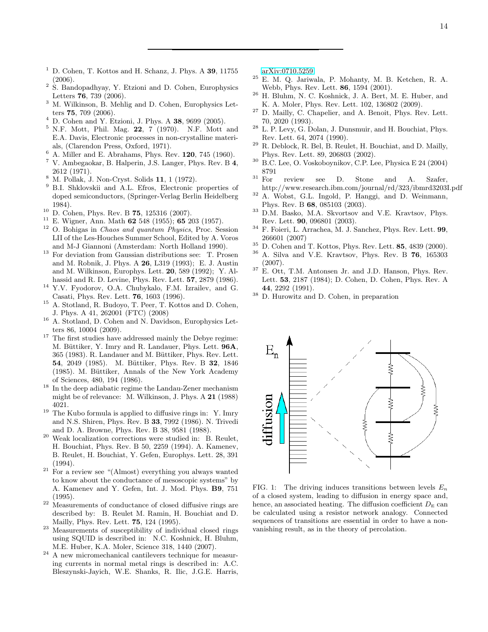- <span id="page-13-0"></span> $1$  D. Cohen, T. Kottos and H. Schanz, J. Phys. A 39, 11755 (2006).
- <sup>2</sup> S. Bandopadhyay, Y. Etzioni and D. Cohen, Europhysics Letters 76, 739 (2006).
- <span id="page-13-1"></span><sup>3</sup> M. Wilkinson, B. Mehlig and D. Cohen, Europhysics Letters 75, 709 (2006).
- <span id="page-13-27"></span><sup>4</sup> D. Cohen and Y. Etzioni, J. Phys. A 38, 9699 (2005).
- <span id="page-13-2"></span><sup>5</sup> N.F. Mott, Phil. Mag. 22, 7 (1970). N.F. Mott and E.A. Davis, Electronic processes in non-crystalline materials, (Clarendon Press, Oxford, 1971).
- $\frac{6}{7}$  A. Miller and E. Abrahams, Phys. Rev. 120, 745 (1960).
- <span id="page-13-18"></span><sup>7</sup> V. Ambegaokar, B. Halperin, J.S. Langer, Phys. Rev. B 4, 2612 (1971).
- <sup>8</sup> M. Pollak, J. Non-Cryst. Solids 11, 1 (1972).
- <sup>9</sup> B.I. Shklovskii and A.L. Efros, Electronic properties of doped semiconductors, (Springer-Verlag Berlin Heidelberg 1984).
- <span id="page-13-3"></span> $10$  D. Cohen, Phys. Rev. B 75, 125316 (2007).
- <span id="page-13-4"></span> $11$  E. Wigner, Ann. Math 62 548 (1955); 65 203 (1957).
- <span id="page-13-5"></span><sup>12</sup> O. Bohigas in Chaos and quantum Physics, Proc. Session LII of the Les-Houches Summer School, Edited by A. Voros and M-J Giannoni (Amsterdam: North Holland 1990).
- <span id="page-13-8"></span><sup>13</sup> For deviation from Gaussian distributions see: T. Prosen and M. Robnik, J. Phys. A 26, L319 (1993); E. J. Austin and M. Wilkinson, Europhys. Lett. 20, 589 (1992); Y. Alhassid and R. D. Levine, Phys. Rev. Lett. 57, 2879 (1986).
- <span id="page-13-9"></span><sup>14</sup> Y.V. Fyodorov, O.A. Chubykalo, F.M. Izrailev, and G. Casati, Phys. Rev. Lett. 76, 1603 (1996).
- <span id="page-13-6"></span><sup>15</sup> A. Stotland, R. Budoyo, T. Peer, T. Kottos and D. Cohen, J. Phys. A 41, 262001 (FTC) (2008)
- <span id="page-13-7"></span><sup>16</sup> A. Stotland, D. Cohen and N. Davidson, Europhysics Letters 86, 10004 (2009).
- <span id="page-13-11"></span><sup>17</sup> The first studies have addressed mainly the Debye regime: M. Büttiker, Y. Imry and R. Landauer, Phys. Lett. 96A, 365 (1983). R. Landauer and M. Büttiker, Phys. Rev. Lett. 54, 2049 (1985). M. Büttiker, Phys. Rev. B 32, 1846 (1985). M. Büttiker, Annals of the New York Academy of Sciences, 480, 194 (1986).
- <span id="page-13-12"></span><sup>18</sup> In the deep adiabatic regime the Landau-Zener mechanism might be of relevance: M. Wilkinson, J. Phys. A 21 (1988) 4021.
- <span id="page-13-13"></span> $19$  The Kubo formula is applied to diffusive rings in: Y. Imry and N.S. Shiren, Phys. Rev. B 33, 7992 (1986). N. Trivedi and D. A. Browne, Phys. Rev. B 38, 9581 (1988).
- <span id="page-13-14"></span>Weak localization corrections were studied in: B. Reulet, H. Bouchiat, Phys. Rev. B 50, 2259 (1994). A. Kamenev, B. Reulet, H. Bouchiat, Y. Gefen, Europhys. Lett. 28, 391  $(1994)$ .
- <span id="page-13-15"></span><sup>21</sup> For a review see "(Almost) everything you always wanted to know about the conductance of mesoscopic systems" by A. Kamenev and Y. Gefen, Int. J. Mod. Phys. B9, 751 (1995).
- <span id="page-13-16"></span><sup>22</sup> Measurements of conductance of closed diffusive rings are described by: B. Reulet M. Ramin, H. Bouchiat and D. Mailly, Phys. Rev. Lett. 75, 124 (1995).
- <sup>23</sup> Measurements of susceptibility of individual closed rings using SQUID is described in: N.C. Koshnick, H. Bluhm, M.E. Huber, K.A. Moler, Science 318, 1440 (2007).
- <span id="page-13-17"></span> $^\mathrm{24}$  A new micromechanical cantilevers technique for measuring currents in normal metal rings is described in: A.C. Bleszynski-Jayich, W.E. Shanks, R. Ilic, J.G.E. Harris,

[arXiv:0710.5259.](http://arxiv.org/abs/0710.5259)

- <span id="page-13-20"></span><sup>25</sup> E. M. Q. Jariwala, P. Mohanty, M. B. Ketchen, R. A. Webb, Phys. Rev. Lett. 86, 1594 (2001).
- <span id="page-13-21"></span><sup>26</sup> H. Bluhm, N. C. Koshnick, J. A. Bert, M. E. Huber, and K. A. Moler, Phys. Rev. Lett. 102, 136802 (2009).
- <span id="page-13-24"></span> $27$  D. Mailly, C. Chapelier, and A. Benoit, Phys. Rev. Lett. 70, 2020 (1993).
- <span id="page-13-22"></span> $28$  L. P. Levy, G. Dolan, J. Dunsmuir, and H. Bouchiat, Phys. Rev. Lett. 64, 2074 (1990).
- <span id="page-13-23"></span> $29$  R. Deblock, R. Bel, B. Reulet, H. Bouchiat, and D. Mailly, Phys. Rev. Lett. 89, 206803 (2002).
- <span id="page-13-25"></span><sup>30</sup> B.C. Lee, O. Voskoboynikov, C.P. Lee, Physica E 24 (2004) 8791
- <sup>31</sup> For review see D. Stone and A. Szafer,
- http://www.research.ibm.com/journal/rd/323/ibmrd3203I.pdf  $32$  A. Wobst, G.L. Ingold, P. Hanggi, and D. Weinmann,
- Phys. Rev. B 68, 085103 (2003). <sup>33</sup> D.M. Basko, M.A. Skvortsov and V.E. Kravtsov, Phys.
- Rev. Lett. 90, 096801 (2003). <sup>34</sup> F. Foieri, L. Arrachea, M. J. Sanchez, Phys. Rev. Lett. 99,
- 266601 (2007)
- <sup>35</sup> D. Cohen and T. Kottos, Phys. Rev. Lett. **85**, 4839 (2000).<br><sup>36</sup> A. Sike and V.E. Knottony, Phys. Rev. B.**76**, 165203.
- <sup>36</sup> A. Silva and V.E. Kravtsov, Phys. Rev. B 76, 165303 (2007).
- <span id="page-13-19"></span> $37$  E. Ott, T.M. Antonsen Jr. and J.D. Hanson, Phys. Rev. Lett. 53, 2187 (1984); D. Cohen, D. Cohen, Phys. Rev. A 44, 2292 (1991).
- <span id="page-13-26"></span> $38$  D. Hurowitz and D. Cohen, in preparation



<span id="page-13-10"></span>FIG. 1: The driving induces transitions between levels  $E_n$ of a closed system, leading to diffusion in energy space and, hence, an associated heating. The diffusion coefficient  $D<sub>E</sub>$  can be calculated using a resistor network analogy. Connected sequences of transitions are essential in order to have a nonvanishing result, as in the theory of percolation.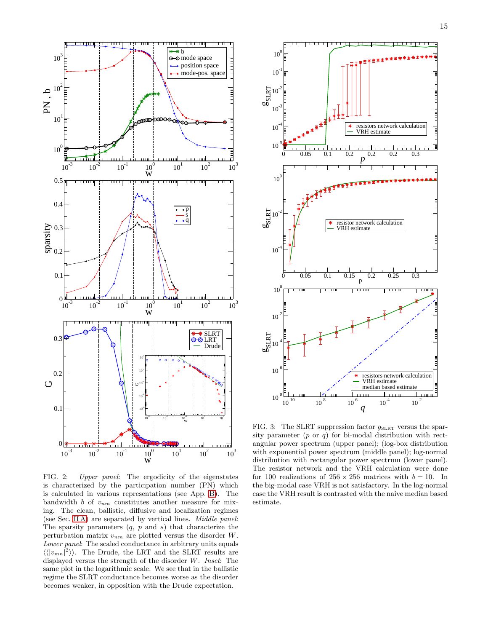

<span id="page-14-0"></span>FIG. 2: Upper panel: The ergodicity of the eigenstates is characterized by the participation number (PN) which is calculated in various representations (see App. [B\)](#page-11-1). The bandwidth b of  $v_{nm}$  constitutes another measure for mixing. The clean, ballistic, diffusive and localization regimes (see Sec. [II A\)](#page-2-3) are separated by vertical lines. Middle panel: The sparsity parameters  $(q, p \text{ and } s)$  that characterize the perturbation matrix  $v_{nm}$  are plotted versus the disorder W. Lower panel: The scaled conductance in arbitrary units equals  $\langle \langle |v_{mn}|^2 \rangle \rangle$ . The Drude, the LRT and the SLRT results are displayed versus the strength of the disorder W. Inset: The same plot in the logarithmic scale. We see that in the ballistic regime the SLRT conductance becomes worse as the disorder becomes weaker, in opposition with the Drude expectation.



<span id="page-14-1"></span>FIG. 3: The SLRT suppression factor  $g_{SLRT}$  versus the sparsity parameter  $(p \text{ or } q)$  for bi-modal distribution with rectangular power spectrum (upper panel); (log-box distribution with exponential power spectrum (middle panel); log-normal distribution with rectangular power spectrum (lower panel). The resistor network and the VRH calculation were done for 100 realizations of  $256 \times 256$  matrices with  $b = 10$ . In the big-modal case VRH is not satisfactory. In the log-normal case the VRH result is contrasted with the naive median based estimate.